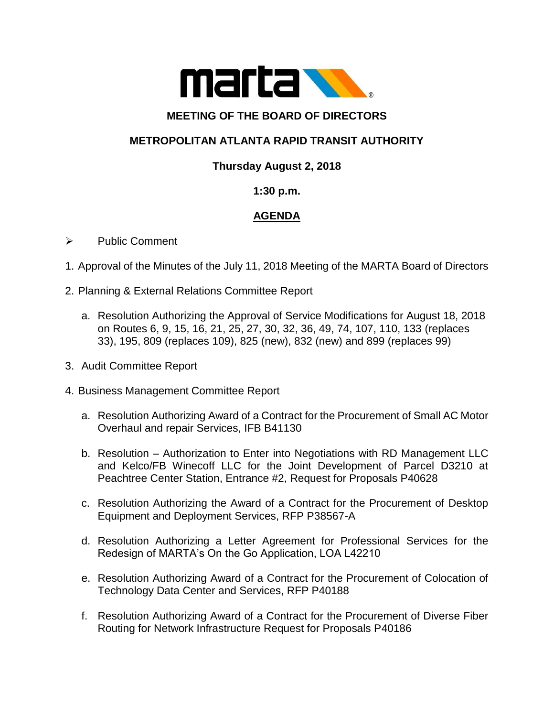

### **MEETING OF THE BOARD OF DIRECTORS**

# **METROPOLITAN ATLANTA RAPID TRANSIT AUTHORITY**

# **Thursday August 2, 2018**

### **1:30 p.m.**

# **AGENDA**

#### ➢ Public Comment

- 1. Approval of the Minutes of the July 11, 2018 Meeting of the MARTA Board of Directors
- 2. Planning & External Relations Committee Report
	- a. Resolution Authorizing the Approval of Service Modifications for August 18, 2018 on Routes 6, 9, 15, 16, 21, 25, 27, 30, 32, 36, 49, 74, 107, 110, 133 (replaces 33), 195, 809 (replaces 109), 825 (new), 832 (new) and 899 (replaces 99)
- 3. Audit Committee Report
- 4. Business Management Committee Report
	- a. Resolution Authorizing Award of a Contract for the Procurement of Small AC Motor Overhaul and repair Services, IFB B41130
	- b. Resolution Authorization to Enter into Negotiations with RD Management LLC and Kelco/FB Winecoff LLC for the Joint Development of Parcel D3210 at Peachtree Center Station, Entrance #2, Request for Proposals P40628
	- c. Resolution Authorizing the Award of a Contract for the Procurement of Desktop Equipment and Deployment Services, RFP P38567-A
	- d. Resolution Authorizing a Letter Agreement for Professional Services for the Redesign of MARTA's On the Go Application, LOA L42210
	- e. Resolution Authorizing Award of a Contract for the Procurement of Colocation of Technology Data Center and Services, RFP P40188
	- f. Resolution Authorizing Award of a Contract for the Procurement of Diverse Fiber Routing for Network Infrastructure Request for Proposals P40186